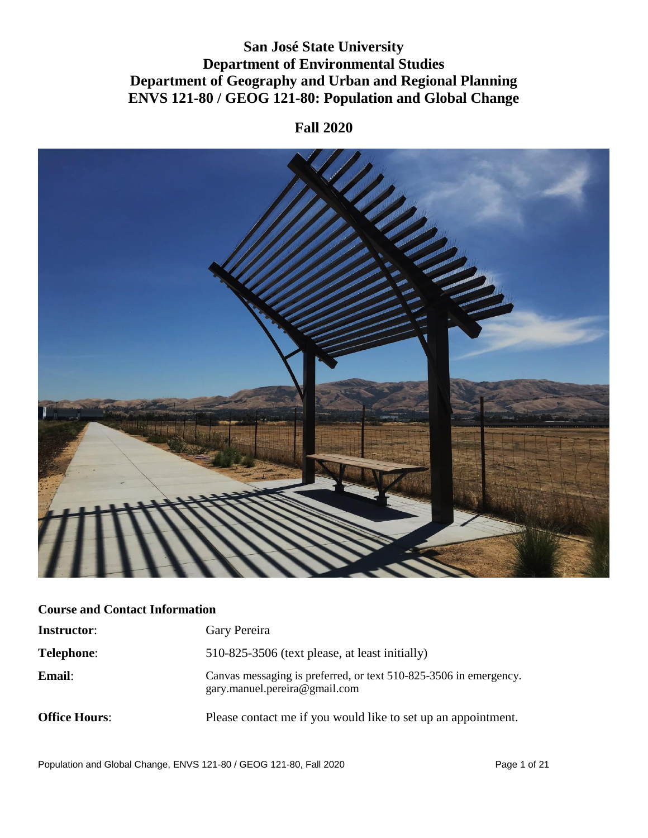## **San José State University Department of Environmental Studies Department of Geography and Urban and Regional Planning ENVS 121-80 / GEOG 121-80: Population and Global Change**

### **Fall 2020**



### **Course and Contact Information**

| <b>Instructor:</b>   | Gary Pereira                                                                                       |
|----------------------|----------------------------------------------------------------------------------------------------|
| <b>Telephone:</b>    | 510-825-3506 (text please, at least initially)                                                     |
| <b>Email:</b>        | Canvas messaging is preferred, or text 510-825-3506 in emergency.<br>gary.manuel.pereira@gmail.com |
| <b>Office Hours:</b> | Please contact me if you would like to set up an appointment.                                      |

Population and Global Change, ENVS 121-80 / GEOG 121-80, Fall 2020 Page 1 of 21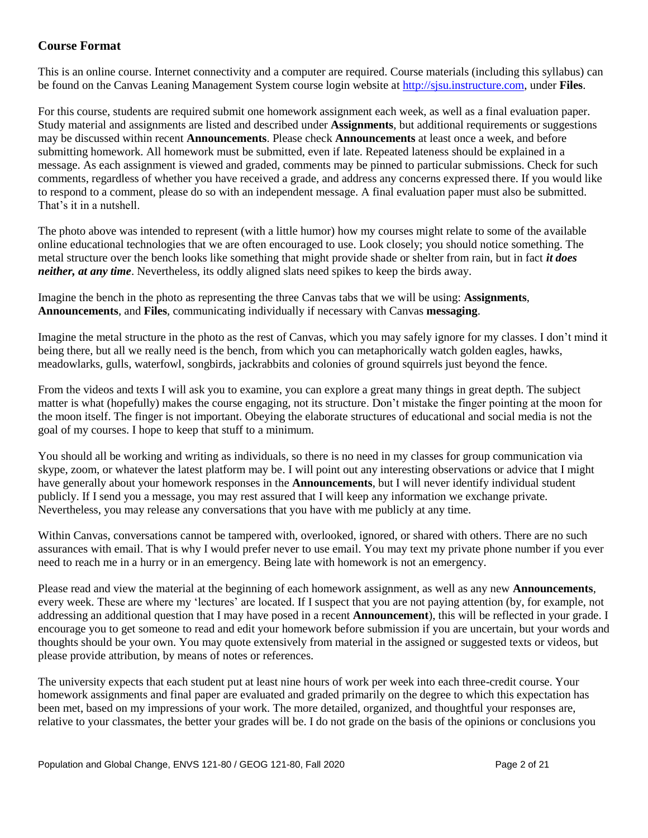### **Course Format**

This is an online course. Internet connectivity and a computer are required. Course materials (including this syllabus) can be found on the Canvas Leaning Management System course login website a[t http://sjsu.instructure.com,](http://sjsu.instructure.com/) under **Files**.

For this course, students are required submit one homework assignment each week, as well as a final evaluation paper. Study material and assignments are listed and described under **Assignments**, but additional requirements or suggestions may be discussed within recent **Announcements**. Please check **Announcements** at least once a week, and before submitting homework. All homework must be submitted, even if late. Repeated lateness should be explained in a message. As each assignment is viewed and graded, comments may be pinned to particular submissions. Check for such comments, regardless of whether you have received a grade, and address any concerns expressed there. If you would like to respond to a comment, please do so with an independent message. A final evaluation paper must also be submitted. That's it in a nutshell.

The photo above was intended to represent (with a little humor) how my courses might relate to some of the available online educational technologies that we are often encouraged to use. Look closely; you should notice something. The metal structure over the bench looks like something that might provide shade or shelter from rain, but in fact *it does neither, at any time*. Nevertheless, its oddly aligned slats need spikes to keep the birds away.

Imagine the bench in the photo as representing the three Canvas tabs that we will be using: **Assignments**, **Announcements**, and **Files**, communicating individually if necessary with Canvas **messaging**.

Imagine the metal structure in the photo as the rest of Canvas, which you may safely ignore for my classes. I don't mind it being there, but all we really need is the bench, from which you can metaphorically watch golden eagles, hawks, meadowlarks, gulls, waterfowl, songbirds, jackrabbits and colonies of ground squirrels just beyond the fence.

From the videos and texts I will ask you to examine, you can explore a great many things in great depth. The subject matter is what (hopefully) makes the course engaging, not its structure. Don't mistake the finger pointing at the moon for the moon itself. The finger is not important. Obeying the elaborate structures of educational and social media is not the goal of my courses. I hope to keep that stuff to a minimum.

You should all be working and writing as individuals, so there is no need in my classes for group communication via skype, zoom, or whatever the latest platform may be. I will point out any interesting observations or advice that I might have generally about your homework responses in the **Announcements**, but I will never identify individual student publicly. If I send you a message, you may rest assured that I will keep any information we exchange private. Nevertheless, you may release any conversations that you have with me publicly at any time.

Within Canvas, conversations cannot be tampered with, overlooked, ignored, or shared with others. There are no such assurances with email. That is why I would prefer never to use email. You may text my private phone number if you ever need to reach me in a hurry or in an emergency. Being late with homework is not an emergency.

Please read and view the material at the beginning of each homework assignment, as well as any new **Announcements**, every week. These are where my 'lectures' are located. If I suspect that you are not paying attention (by, for example, not addressing an additional question that I may have posed in a recent **Announcement**), this will be reflected in your grade. I encourage you to get someone to read and edit your homework before submission if you are uncertain, but your words and thoughts should be your own. You may quote extensively from material in the assigned or suggested texts or videos, but please provide attribution, by means of notes or references.

The university expects that each student put at least nine hours of work per week into each three-credit course. Your homework assignments and final paper are evaluated and graded primarily on the degree to which this expectation has been met, based on my impressions of your work. The more detailed, organized, and thoughtful your responses are, relative to your classmates, the better your grades will be. I do not grade on the basis of the opinions or conclusions you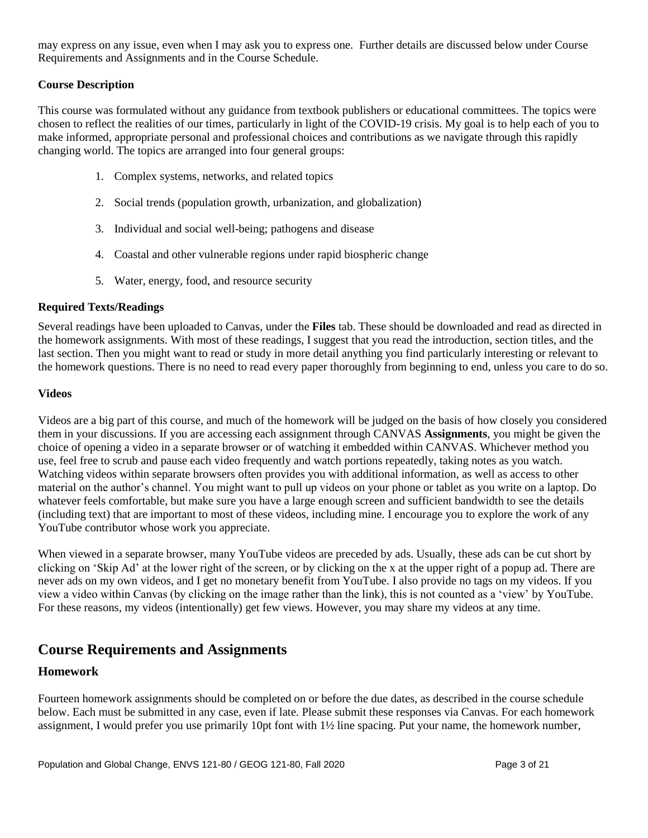may express on any issue, even when I may ask you to express one. Further details are discussed below under Course Requirements and Assignments and in the Course Schedule.

#### **Course Description**

This course was formulated without any guidance from textbook publishers or educational committees. The topics were chosen to reflect the realities of our times, particularly in light of the COVID-19 crisis. My goal is to help each of you to make informed, appropriate personal and professional choices and contributions as we navigate through this rapidly changing world. The topics are arranged into four general groups:

- 1. Complex systems, networks, and related topics
- 2. Social trends (population growth, urbanization, and globalization)
- 3. Individual and social well-being; pathogens and disease
- 4. Coastal and other vulnerable regions under rapid biospheric change
- 5. Water, energy, food, and resource security

#### **Required Texts/Readings**

Several readings have been uploaded to Canvas, under the **Files** tab. These should be downloaded and read as directed in the homework assignments. With most of these readings, I suggest that you read the introduction, section titles, and the last section. Then you might want to read or study in more detail anything you find particularly interesting or relevant to the homework questions. There is no need to read every paper thoroughly from beginning to end, unless you care to do so.

#### **Videos**

Videos are a big part of this course, and much of the homework will be judged on the basis of how closely you considered them in your discussions. If you are accessing each assignment through CANVAS **Assignments**, you might be given the choice of opening a video in a separate browser or of watching it embedded within CANVAS. Whichever method you use, feel free to scrub and pause each video frequently and watch portions repeatedly, taking notes as you watch. Watching videos within separate browsers often provides you with additional information, as well as access to other material on the author's channel. You might want to pull up videos on your phone or tablet as you write on a laptop. Do whatever feels comfortable, but make sure you have a large enough screen and sufficient bandwidth to see the details (including text) that are important to most of these videos, including mine. I encourage you to explore the work of any YouTube contributor whose work you appreciate.

When viewed in a separate browser, many YouTube videos are preceded by ads. Usually, these ads can be cut short by clicking on 'Skip Ad' at the lower right of the screen, or by clicking on the x at the upper right of a popup ad. There are never ads on my own videos, and I get no monetary benefit from YouTube. I also provide no tags on my videos. If you view a video within Canvas (by clicking on the image rather than the link), this is not counted as a 'view' by YouTube. For these reasons, my videos (intentionally) get few views. However, you may share my videos at any time.

### **Course Requirements and Assignments**

### **Homework**

Fourteen homework assignments should be completed on or before the due dates, as described in the course schedule below. Each must be submitted in any case, even if late. Please submit these responses via Canvas. For each homework assignment, I would prefer you use primarily 10pt font with 1½ line spacing. Put your name, the homework number,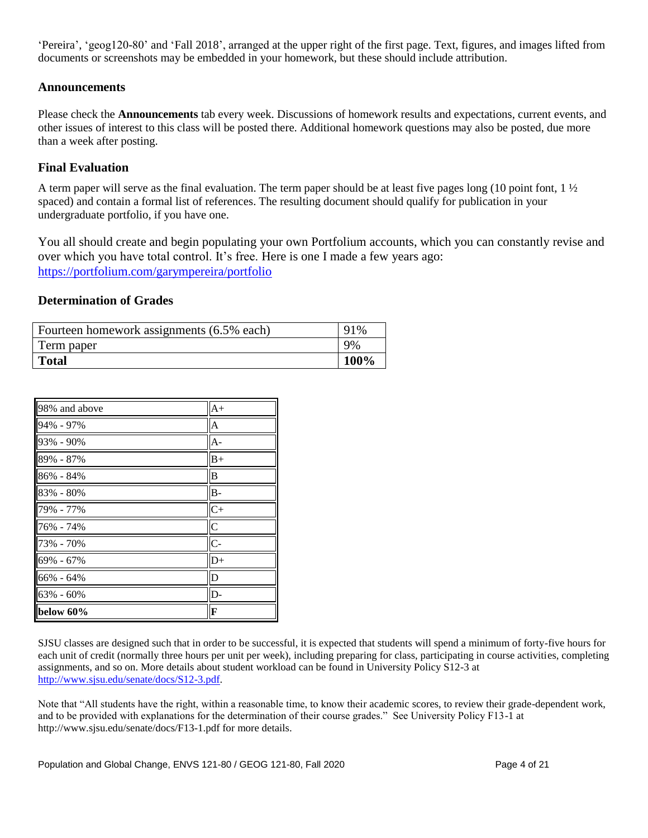'Pereira', 'geog120-80' and 'Fall 2018', arranged at the upper right of the first page. Text, figures, and images lifted from documents or screenshots may be embedded in your homework, but these should include attribution.

### **Announcements**

Please check the **Announcements** tab every week. Discussions of homework results and expectations, current events, and other issues of interest to this class will be posted there. Additional homework questions may also be posted, due more than a week after posting.

### **Final Evaluation**

A term paper will serve as the final evaluation. The term paper should be at least five pages long (10 point font,  $1\frac{1}{2}$ ) spaced) and contain a formal list of references. The resulting document should qualify for publication in your undergraduate portfolio, if you have one.

You all should create and begin populating your own Portfolium accounts, which you can constantly revise and over which you have total control. It's free. Here is one I made a few years ago: <https://portfolium.com/garympereira/portfolio>

#### **Determination of Grades**

| Fourteen homework assignments (6.5% each) | 91%  |
|-------------------------------------------|------|
| Term paper                                | 9%   |
| <b>Total</b>                              | 100% |

| 98% and above | $A+$           |
|---------------|----------------|
| 94% - 97%     | $\overline{A}$ |
| 93% - 90%     | $A -$          |
| 89% - 87%     | $B+$           |
| 86% - 84%     | B              |
| $83\% - 80\%$ | $B -$          |
| 79% - 77%     | $C^{+}$        |
| 76% - 74%     | $\overline{C}$ |
| 73% - 70%     | $\overline{C}$ |
| 69% - 67%     | $D+$           |
| 66% - 64%     | D              |
| 63% - 60%     | D-             |
| below 60%     | F              |

SJSU classes are designed such that in order to be successful, it is expected that students will spend a minimum of forty-five hours for each unit of credit (normally three hours per unit per week), including preparing for class, participating in course activities, completing assignments, and so on. More details about student workload can be found in University Policy S12-3 at [http://www.sjsu.edu/senate/docs/S12-3.pdf.](http://www.sjsu.edu/senate/docs/S12-3.pdf)

Note that "All students have the right, within a reasonable time, to know their academic scores, to review their grade-dependent work, and to be provided with explanations for the determination of their course grades." See University Policy F13-1 at http://www.sjsu.edu/senate/docs/F13-1.pdf for more details.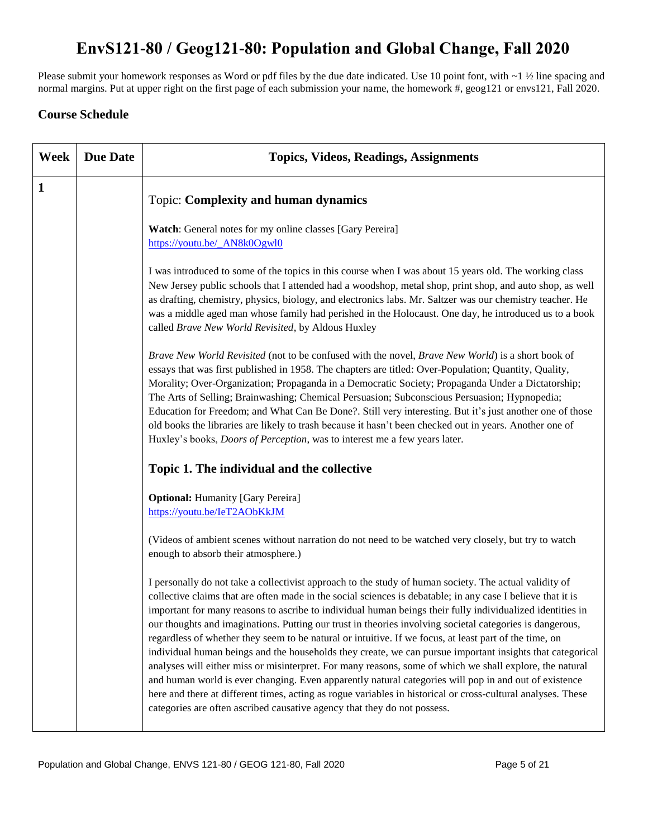# **EnvS121-80 / Geog121-80: Population and Global Change, Fall 2020**

Please submit your homework responses as Word or pdf files by the due date indicated. Use 10 point font, with ~1 ½ line spacing and normal margins. Put at upper right on the first page of each submission your name, the homework #, geog121 or envs121, Fall 2020.

### **Course Schedule**

| Week         | <b>Due Date</b> | <b>Topics, Videos, Readings, Assignments</b>                                                                                                                                                                                                                                                                                                                                                                                                                                                                                                                                                                                                                                                                                                                                                                                                                                                                                                                                                                                                                                           |
|--------------|-----------------|----------------------------------------------------------------------------------------------------------------------------------------------------------------------------------------------------------------------------------------------------------------------------------------------------------------------------------------------------------------------------------------------------------------------------------------------------------------------------------------------------------------------------------------------------------------------------------------------------------------------------------------------------------------------------------------------------------------------------------------------------------------------------------------------------------------------------------------------------------------------------------------------------------------------------------------------------------------------------------------------------------------------------------------------------------------------------------------|
| $\mathbf{1}$ |                 | <b>Topic: Complexity and human dynamics</b>                                                                                                                                                                                                                                                                                                                                                                                                                                                                                                                                                                                                                                                                                                                                                                                                                                                                                                                                                                                                                                            |
|              |                 | Watch: General notes for my online classes [Gary Pereira]<br>https://youtu.be/_AN8k0Ogwl0                                                                                                                                                                                                                                                                                                                                                                                                                                                                                                                                                                                                                                                                                                                                                                                                                                                                                                                                                                                              |
|              |                 | I was introduced to some of the topics in this course when I was about 15 years old. The working class<br>New Jersey public schools that I attended had a woodshop, metal shop, print shop, and auto shop, as well<br>as drafting, chemistry, physics, biology, and electronics labs. Mr. Saltzer was our chemistry teacher. He<br>was a middle aged man whose family had perished in the Holocaust. One day, he introduced us to a book<br>called Brave New World Revisited, by Aldous Huxley                                                                                                                                                                                                                                                                                                                                                                                                                                                                                                                                                                                         |
|              |                 | Brave New World Revisited (not to be confused with the novel, Brave New World) is a short book of<br>essays that was first published in 1958. The chapters are titled: Over-Population; Quantity, Quality,<br>Morality; Over-Organization; Propaganda in a Democratic Society; Propaganda Under a Dictatorship;<br>The Arts of Selling; Brainwashing; Chemical Persuasion; Subconscious Persuasion; Hypnopedia;<br>Education for Freedom; and What Can Be Done?. Still very interesting. But it's just another one of those<br>old books the libraries are likely to trash because it hasn't been checked out in years. Another one of<br>Huxley's books, <i>Doors of Perception</i> , was to interest me a few years later.                                                                                                                                                                                                                                                                                                                                                           |
|              |                 | Topic 1. The individual and the collective                                                                                                                                                                                                                                                                                                                                                                                                                                                                                                                                                                                                                                                                                                                                                                                                                                                                                                                                                                                                                                             |
|              |                 | <b>Optional:</b> Humanity [Gary Pereira]<br>https://youtu.be/IeT2AObKkJM                                                                                                                                                                                                                                                                                                                                                                                                                                                                                                                                                                                                                                                                                                                                                                                                                                                                                                                                                                                                               |
|              |                 | (Videos of ambient scenes without narration do not need to be watched very closely, but try to watch<br>enough to absorb their atmosphere.)                                                                                                                                                                                                                                                                                                                                                                                                                                                                                                                                                                                                                                                                                                                                                                                                                                                                                                                                            |
|              |                 | I personally do not take a collectivist approach to the study of human society. The actual validity of<br>collective claims that are often made in the social sciences is debatable; in any case I believe that it is<br>important for many reasons to ascribe to individual human beings their fully individualized identities in<br>our thoughts and imaginations. Putting our trust in theories involving societal categories is dangerous,<br>regardless of whether they seem to be natural or intuitive. If we focus, at least part of the time, on<br>individual human beings and the households they create, we can pursue important insights that categorical<br>analyses will either miss or misinterpret. For many reasons, some of which we shall explore, the natural<br>and human world is ever changing. Even apparently natural categories will pop in and out of existence<br>here and there at different times, acting as rogue variables in historical or cross-cultural analyses. These<br>categories are often ascribed causative agency that they do not possess. |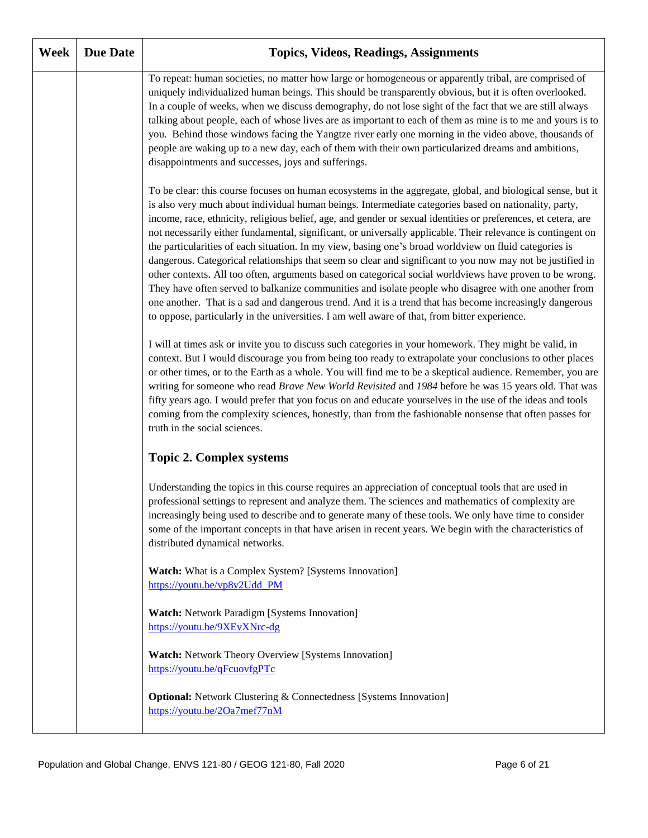| Week | <b>Due Date</b> | <b>Topics, Videos, Readings, Assignments</b>                                                                                                                                                                                                                                                                                                                                                                                                                                                                                                                                                                                                                                                                                                                                                                                                                                                                                                                                                                                                                                                                     |
|------|-----------------|------------------------------------------------------------------------------------------------------------------------------------------------------------------------------------------------------------------------------------------------------------------------------------------------------------------------------------------------------------------------------------------------------------------------------------------------------------------------------------------------------------------------------------------------------------------------------------------------------------------------------------------------------------------------------------------------------------------------------------------------------------------------------------------------------------------------------------------------------------------------------------------------------------------------------------------------------------------------------------------------------------------------------------------------------------------------------------------------------------------|
|      |                 | To repeat: human societies, no matter how large or homogeneous or apparently tribal, are comprised of<br>uniquely individualized human beings. This should be transparently obvious, but it is often overlooked.<br>In a couple of weeks, when we discuss demography, do not lose sight of the fact that we are still always<br>talking about people, each of whose lives are as important to each of them as mine is to me and yours is to<br>you. Behind those windows facing the Yangtze river early one morning in the video above, thousands of<br>people are waking up to a new day, each of them with their own particularized dreams and ambitions,<br>disappointments and successes, joys and sufferings.                                                                                                                                                                                                                                                                                                                                                                                               |
|      |                 | To be clear: this course focuses on human ecosystems in the aggregate, global, and biological sense, but it<br>is also very much about individual human beings. Intermediate categories based on nationality, party,<br>income, race, ethnicity, religious belief, age, and gender or sexual identities or preferences, et cetera, are<br>not necessarily either fundamental, significant, or universally applicable. Their relevance is contingent on<br>the particularities of each situation. In my view, basing one's broad worldview on fluid categories is<br>dangerous. Categorical relationships that seem so clear and significant to you now may not be justified in<br>other contexts. All too often, arguments based on categorical social worldviews have proven to be wrong.<br>They have often served to balkanize communities and isolate people who disagree with one another from<br>one another. That is a sad and dangerous trend. And it is a trend that has become increasingly dangerous<br>to oppose, particularly in the universities. I am well aware of that, from bitter experience. |
|      |                 | I will at times ask or invite you to discuss such categories in your homework. They might be valid, in<br>context. But I would discourage you from being too ready to extrapolate your conclusions to other places<br>or other times, or to the Earth as a whole. You will find me to be a skeptical audience. Remember, you are<br>writing for someone who read Brave New World Revisited and 1984 before he was 15 years old. That was<br>fifty years ago. I would prefer that you focus on and educate yourselves in the use of the ideas and tools<br>coming from the complexity sciences, honestly, than from the fashionable nonsense that often passes for<br>truth in the social sciences.                                                                                                                                                                                                                                                                                                                                                                                                               |
|      |                 | <b>Topic 2. Complex systems</b>                                                                                                                                                                                                                                                                                                                                                                                                                                                                                                                                                                                                                                                                                                                                                                                                                                                                                                                                                                                                                                                                                  |
|      |                 | Understanding the topics in this course requires an appreciation of conceptual tools that are used in<br>professional settings to represent and analyze them. The sciences and mathematics of complexity are<br>increasingly being used to describe and to generate many of these tools. We only have time to consider<br>some of the important concepts in that have arisen in recent years. We begin with the characteristics of<br>distributed dynamical networks.                                                                                                                                                                                                                                                                                                                                                                                                                                                                                                                                                                                                                                            |
|      |                 | Watch: What is a Complex System? [Systems Innovation]<br>https://youtu.be/vp8v2Udd_PM                                                                                                                                                                                                                                                                                                                                                                                                                                                                                                                                                                                                                                                                                                                                                                                                                                                                                                                                                                                                                            |
|      |                 | <b>Watch:</b> Network Paradigm [Systems Innovation]<br>https://youtu.be/9XEvXNrc-dg                                                                                                                                                                                                                                                                                                                                                                                                                                                                                                                                                                                                                                                                                                                                                                                                                                                                                                                                                                                                                              |
|      |                 | Watch: Network Theory Overview [Systems Innovation]<br>https://youtu.be/qFcuovfgPTc                                                                                                                                                                                                                                                                                                                                                                                                                                                                                                                                                                                                                                                                                                                                                                                                                                                                                                                                                                                                                              |
|      |                 | <b>Optional:</b> Network Clustering & Connectedness [Systems Innovation]<br>https://youtu.be/2Oa7mef77nM                                                                                                                                                                                                                                                                                                                                                                                                                                                                                                                                                                                                                                                                                                                                                                                                                                                                                                                                                                                                         |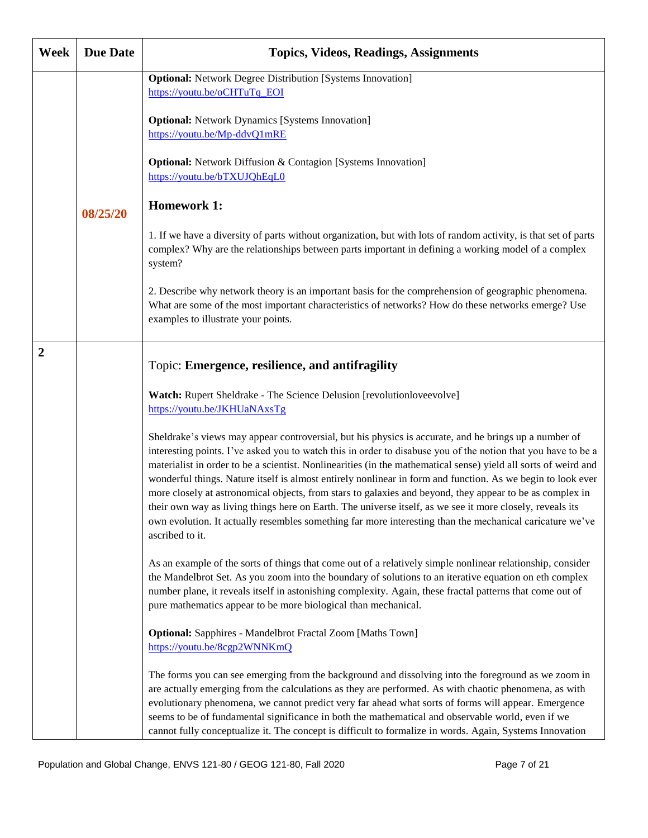| Week         | <b>Due Date</b> | <b>Topics, Videos, Readings, Assignments</b>                                                                                                                                                                                                                                                                                                                                                                                                                                                                                                                                                                                                                                                                                                                                                                     |
|--------------|-----------------|------------------------------------------------------------------------------------------------------------------------------------------------------------------------------------------------------------------------------------------------------------------------------------------------------------------------------------------------------------------------------------------------------------------------------------------------------------------------------------------------------------------------------------------------------------------------------------------------------------------------------------------------------------------------------------------------------------------------------------------------------------------------------------------------------------------|
|              |                 | <b>Optional:</b> Network Degree Distribution [Systems Innovation]<br>https://youtu.be/oCHTuTq_EOI                                                                                                                                                                                                                                                                                                                                                                                                                                                                                                                                                                                                                                                                                                                |
|              |                 | <b>Optional:</b> Network Dynamics [Systems Innovation]<br>https://youtu.be/Mp-ddvQ1mRE                                                                                                                                                                                                                                                                                                                                                                                                                                                                                                                                                                                                                                                                                                                           |
|              |                 | <b>Optional:</b> Network Diffusion & Contagion [Systems Innovation]<br>https://youtu.be/bTXUJQhEqL0                                                                                                                                                                                                                                                                                                                                                                                                                                                                                                                                                                                                                                                                                                              |
|              | 08/25/20        | <b>Homework 1:</b>                                                                                                                                                                                                                                                                                                                                                                                                                                                                                                                                                                                                                                                                                                                                                                                               |
|              |                 | 1. If we have a diversity of parts without organization, but with lots of random activity, is that set of parts<br>complex? Why are the relationships between parts important in defining a working model of a complex<br>system?                                                                                                                                                                                                                                                                                                                                                                                                                                                                                                                                                                                |
|              |                 | 2. Describe why network theory is an important basis for the comprehension of geographic phenomena.<br>What are some of the most important characteristics of networks? How do these networks emerge? Use<br>examples to illustrate your points.                                                                                                                                                                                                                                                                                                                                                                                                                                                                                                                                                                 |
| $\mathbf{2}$ |                 | Topic: Emergence, resilience, and antifragility                                                                                                                                                                                                                                                                                                                                                                                                                                                                                                                                                                                                                                                                                                                                                                  |
|              |                 | Watch: Rupert Sheldrake - The Science Delusion [revolutionloveevolve]<br>https://youtu.be/JKHUaNAxsTg                                                                                                                                                                                                                                                                                                                                                                                                                                                                                                                                                                                                                                                                                                            |
|              |                 | Sheldrake's views may appear controversial, but his physics is accurate, and he brings up a number of<br>interesting points. I've asked you to watch this in order to disabuse you of the notion that you have to be a<br>materialist in order to be a scientist. Nonlinearities (in the mathematical sense) yield all sorts of weird and<br>wonderful things. Nature itself is almost entirely nonlinear in form and function. As we begin to look ever<br>more closely at astronomical objects, from stars to galaxies and beyond, they appear to be as complex in<br>their own way as living things here on Earth. The universe itself, as we see it more closely, reveals its<br>own evolution. It actually resembles something far more interesting than the mechanical caricature we've<br>ascribed to it. |
|              |                 | As an example of the sorts of things that come out of a relatively simple nonlinear relationship, consider<br>the Mandelbrot Set. As you zoom into the boundary of solutions to an iterative equation on eth complex<br>number plane, it reveals itself in astonishing complexity. Again, these fractal patterns that come out of<br>pure mathematics appear to be more biological than mechanical.                                                                                                                                                                                                                                                                                                                                                                                                              |
|              |                 | <b>Optional:</b> Sapphires - Mandelbrot Fractal Zoom [Maths Town]<br>https://youtu.be/8cgp2WNNKmQ                                                                                                                                                                                                                                                                                                                                                                                                                                                                                                                                                                                                                                                                                                                |
|              |                 | The forms you can see emerging from the background and dissolving into the foreground as we zoom in<br>are actually emerging from the calculations as they are performed. As with chaotic phenomena, as with<br>evolutionary phenomena, we cannot predict very far ahead what sorts of forms will appear. Emergence<br>seems to be of fundamental significance in both the mathematical and observable world, even if we<br>cannot fully conceptualize it. The concept is difficult to formalize in words. Again, Systems Innovation                                                                                                                                                                                                                                                                             |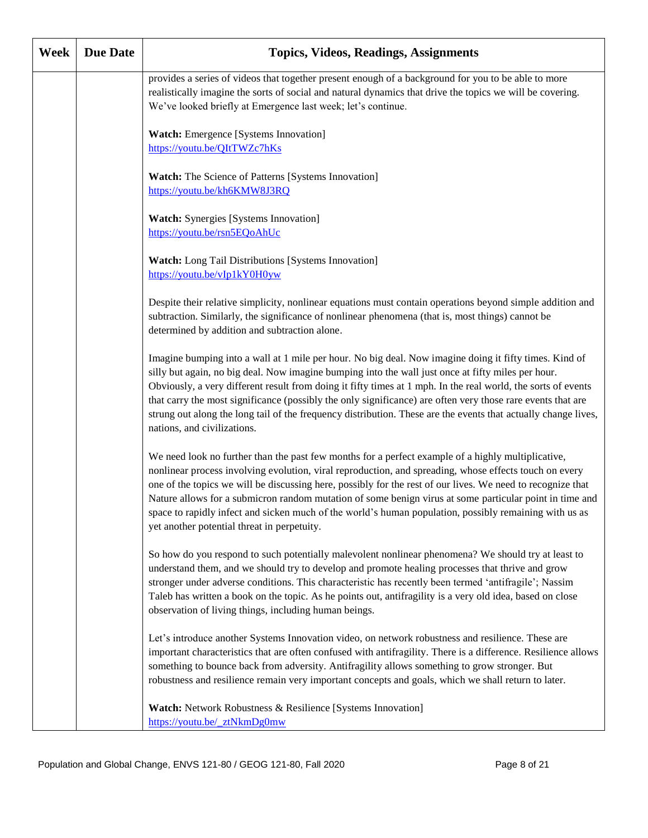| Week | <b>Due Date</b> | <b>Topics, Videos, Readings, Assignments</b>                                                                                                                                                                                                                                                                                                                                                                                                                                                                                                                                                    |
|------|-----------------|-------------------------------------------------------------------------------------------------------------------------------------------------------------------------------------------------------------------------------------------------------------------------------------------------------------------------------------------------------------------------------------------------------------------------------------------------------------------------------------------------------------------------------------------------------------------------------------------------|
|      |                 | provides a series of videos that together present enough of a background for you to be able to more<br>realistically imagine the sorts of social and natural dynamics that drive the topics we will be covering.<br>We've looked briefly at Emergence last week; let's continue.                                                                                                                                                                                                                                                                                                                |
|      |                 | Watch: Emergence [Systems Innovation]<br>https://youtu.be/QItTWZc7hKs                                                                                                                                                                                                                                                                                                                                                                                                                                                                                                                           |
|      |                 | Watch: The Science of Patterns [Systems Innovation]<br>https://youtu.be/kh6KMW8J3RQ                                                                                                                                                                                                                                                                                                                                                                                                                                                                                                             |
|      |                 | <b>Watch:</b> Synergies [Systems Innovation]<br>https://youtu.be/rsn5EQoAhUc                                                                                                                                                                                                                                                                                                                                                                                                                                                                                                                    |
|      |                 | Watch: Long Tail Distributions [Systems Innovation]<br>https://youtu.be/vIp1kY0H0yw                                                                                                                                                                                                                                                                                                                                                                                                                                                                                                             |
|      |                 | Despite their relative simplicity, nonlinear equations must contain operations beyond simple addition and<br>subtraction. Similarly, the significance of nonlinear phenomena (that is, most things) cannot be<br>determined by addition and subtraction alone.                                                                                                                                                                                                                                                                                                                                  |
|      |                 | Imagine bumping into a wall at 1 mile per hour. No big deal. Now imagine doing it fifty times. Kind of<br>silly but again, no big deal. Now imagine bumping into the wall just once at fifty miles per hour.<br>Obviously, a very different result from doing it fifty times at 1 mph. In the real world, the sorts of events<br>that carry the most significance (possibly the only significance) are often very those rare events that are<br>strung out along the long tail of the frequency distribution. These are the events that actually change lives,<br>nations, and civilizations.   |
|      |                 | We need look no further than the past few months for a perfect example of a highly multiplicative,<br>nonlinear process involving evolution, viral reproduction, and spreading, whose effects touch on every<br>one of the topics we will be discussing here, possibly for the rest of our lives. We need to recognize that<br>Nature allows for a submicron random mutation of some benign virus at some particular point in time and<br>space to rapidly infect and sicken much of the world's human population, possibly remaining with us as<br>yet another potential threat in perpetuity. |
|      |                 | So how do you respond to such potentially malevolent nonlinear phenomena? We should try at least to<br>understand them, and we should try to develop and promote healing processes that thrive and grow<br>stronger under adverse conditions. This characteristic has recently been termed 'antifragile'; Nassim<br>Taleb has written a book on the topic. As he points out, antifragility is a very old idea, based on close<br>observation of living things, including human beings.                                                                                                          |
|      |                 | Let's introduce another Systems Innovation video, on network robustness and resilience. These are<br>important characteristics that are often confused with antifragility. There is a difference. Resilience allows<br>something to bounce back from adversity. Antifragility allows something to grow stronger. But<br>robustness and resilience remain very important concepts and goals, which we shall return to later.                                                                                                                                                                     |
|      |                 | Watch: Network Robustness & Resilience [Systems Innovation]<br>https://youtu.be/ ztNkmDg0mw                                                                                                                                                                                                                                                                                                                                                                                                                                                                                                     |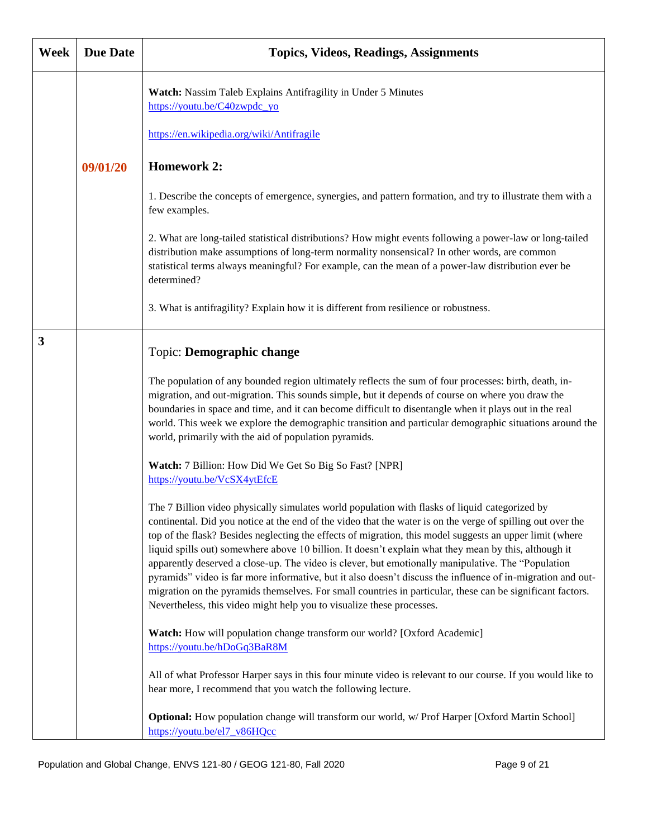| Week | <b>Due Date</b> | <b>Topics, Videos, Readings, Assignments</b>                                                                                                                                                                                                                                                                                                                                                                                                                                                                                                                                                                                                                                                                                                                                                                                                   |
|------|-----------------|------------------------------------------------------------------------------------------------------------------------------------------------------------------------------------------------------------------------------------------------------------------------------------------------------------------------------------------------------------------------------------------------------------------------------------------------------------------------------------------------------------------------------------------------------------------------------------------------------------------------------------------------------------------------------------------------------------------------------------------------------------------------------------------------------------------------------------------------|
|      |                 | Watch: Nassim Taleb Explains Antifragility in Under 5 Minutes<br>https://youtu.be/C40zwpdc_yo<br>https://en.wikipedia.org/wiki/Antifragile                                                                                                                                                                                                                                                                                                                                                                                                                                                                                                                                                                                                                                                                                                     |
|      | 09/01/20        | <b>Homework 2:</b>                                                                                                                                                                                                                                                                                                                                                                                                                                                                                                                                                                                                                                                                                                                                                                                                                             |
|      |                 |                                                                                                                                                                                                                                                                                                                                                                                                                                                                                                                                                                                                                                                                                                                                                                                                                                                |
|      |                 | 1. Describe the concepts of emergence, synergies, and pattern formation, and try to illustrate them with a<br>few examples.                                                                                                                                                                                                                                                                                                                                                                                                                                                                                                                                                                                                                                                                                                                    |
|      |                 | 2. What are long-tailed statistical distributions? How might events following a power-law or long-tailed<br>distribution make assumptions of long-term normality nonsensical? In other words, are common<br>statistical terms always meaningful? For example, can the mean of a power-law distribution ever be<br>determined?                                                                                                                                                                                                                                                                                                                                                                                                                                                                                                                  |
|      |                 | 3. What is antifragility? Explain how it is different from resilience or robustness.                                                                                                                                                                                                                                                                                                                                                                                                                                                                                                                                                                                                                                                                                                                                                           |
| 3    |                 | Topic: Demographic change                                                                                                                                                                                                                                                                                                                                                                                                                                                                                                                                                                                                                                                                                                                                                                                                                      |
|      |                 | The population of any bounded region ultimately reflects the sum of four processes: birth, death, in-<br>migration, and out-migration. This sounds simple, but it depends of course on where you draw the<br>boundaries in space and time, and it can become difficult to disentangle when it plays out in the real<br>world. This week we explore the demographic transition and particular demographic situations around the<br>world, primarily with the aid of population pyramids.                                                                                                                                                                                                                                                                                                                                                        |
|      |                 | Watch: 7 Billion: How Did We Get So Big So Fast? [NPR]<br>https://youtu.be/VcSX4ytEfcE                                                                                                                                                                                                                                                                                                                                                                                                                                                                                                                                                                                                                                                                                                                                                         |
|      |                 | The 7 Billion video physically simulates world population with flasks of liquid categorized by<br>continental. Did you notice at the end of the video that the water is on the verge of spilling out over the<br>top of the flask? Besides neglecting the effects of migration, this model suggests an upper limit (where<br>liquid spills out) somewhere above 10 billion. It doesn't explain what they mean by this, although it<br>apparently deserved a close-up. The video is clever, but emotionally manipulative. The "Population<br>pyramids" video is far more informative, but it also doesn't discuss the influence of in-migration and out-<br>migration on the pyramids themselves. For small countries in particular, these can be significant factors.<br>Nevertheless, this video might help you to visualize these processes. |
|      |                 | Watch: How will population change transform our world? [Oxford Academic]<br>https://youtu.be/hDoGq3BaR8M                                                                                                                                                                                                                                                                                                                                                                                                                                                                                                                                                                                                                                                                                                                                       |
|      |                 | All of what Professor Harper says in this four minute video is relevant to our course. If you would like to<br>hear more, I recommend that you watch the following lecture.                                                                                                                                                                                                                                                                                                                                                                                                                                                                                                                                                                                                                                                                    |
|      |                 | Optional: How population change will transform our world, w/ Prof Harper [Oxford Martin School]<br>https://youtu.be/el7 v86HQcc                                                                                                                                                                                                                                                                                                                                                                                                                                                                                                                                                                                                                                                                                                                |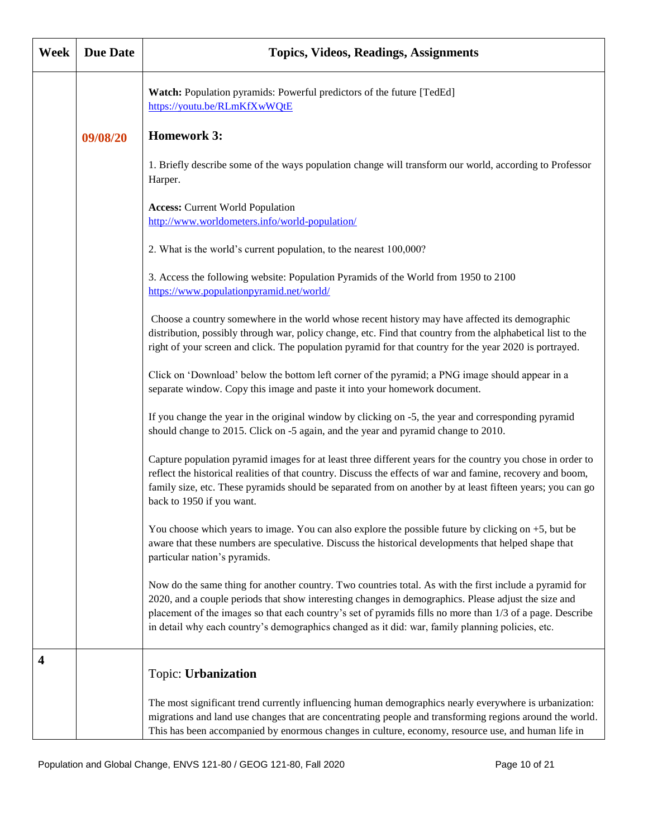| Week | <b>Due Date</b> | <b>Topics, Videos, Readings, Assignments</b>                                                                                                                                                                                                                                                                                                                                                                                     |
|------|-----------------|----------------------------------------------------------------------------------------------------------------------------------------------------------------------------------------------------------------------------------------------------------------------------------------------------------------------------------------------------------------------------------------------------------------------------------|
|      |                 | Watch: Population pyramids: Powerful predictors of the future [TedEd]<br>https://youtu.be/RLmKfXwWQtE                                                                                                                                                                                                                                                                                                                            |
|      | 09/08/20        | <b>Homework 3:</b>                                                                                                                                                                                                                                                                                                                                                                                                               |
|      |                 | 1. Briefly describe some of the ways population change will transform our world, according to Professor<br>Harper.                                                                                                                                                                                                                                                                                                               |
|      |                 | <b>Access: Current World Population</b><br>http://www.worldometers.info/world-population/                                                                                                                                                                                                                                                                                                                                        |
|      |                 | 2. What is the world's current population, to the nearest 100,000?                                                                                                                                                                                                                                                                                                                                                               |
|      |                 | 3. Access the following website: Population Pyramids of the World from 1950 to 2100<br>https://www.populationpyramid.net/world/                                                                                                                                                                                                                                                                                                  |
|      |                 | Choose a country somewhere in the world whose recent history may have affected its demographic<br>distribution, possibly through war, policy change, etc. Find that country from the alphabetical list to the<br>right of your screen and click. The population pyramid for that country for the year 2020 is portrayed.                                                                                                         |
|      |                 | Click on 'Download' below the bottom left corner of the pyramid; a PNG image should appear in a<br>separate window. Copy this image and paste it into your homework document.                                                                                                                                                                                                                                                    |
|      |                 | If you change the year in the original window by clicking on -5, the year and corresponding pyramid<br>should change to 2015. Click on -5 again, and the year and pyramid change to 2010.                                                                                                                                                                                                                                        |
|      |                 | Capture population pyramid images for at least three different years for the country you chose in order to<br>reflect the historical realities of that country. Discuss the effects of war and famine, recovery and boom,<br>family size, etc. These pyramids should be separated from on another by at least fifteen years; you can go<br>back to 1950 if you want.                                                             |
|      |                 | You choose which years to image. You can also explore the possible future by clicking on +5, but be<br>aware that these numbers are speculative. Discuss the historical developments that helped shape that<br>particular nation's pyramids.                                                                                                                                                                                     |
|      |                 | Now do the same thing for another country. Two countries total. As with the first include a pyramid for<br>2020, and a couple periods that show interesting changes in demographics. Please adjust the size and<br>placement of the images so that each country's set of pyramids fills no more than 1/3 of a page. Describe<br>in detail why each country's demographics changed as it did: war, family planning policies, etc. |
| 4    |                 | Topic: Urbanization                                                                                                                                                                                                                                                                                                                                                                                                              |
|      |                 | The most significant trend currently influencing human demographics nearly everywhere is urbanization:<br>migrations and land use changes that are concentrating people and transforming regions around the world.<br>This has been accompanied by enormous changes in culture, economy, resource use, and human life in                                                                                                         |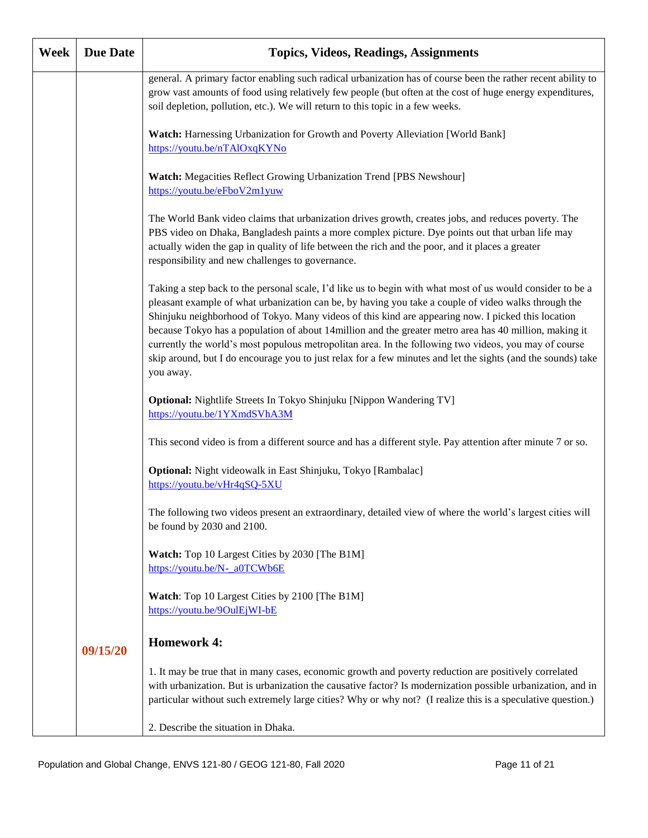| Week | <b>Due Date</b> | <b>Topics, Videos, Readings, Assignments</b>                                                                                                                                                                                                                                                                                                                                                                                                                                                                                                                                                                                                                              |
|------|-----------------|---------------------------------------------------------------------------------------------------------------------------------------------------------------------------------------------------------------------------------------------------------------------------------------------------------------------------------------------------------------------------------------------------------------------------------------------------------------------------------------------------------------------------------------------------------------------------------------------------------------------------------------------------------------------------|
|      |                 | general. A primary factor enabling such radical urbanization has of course been the rather recent ability to<br>grow vast amounts of food using relatively few people (but often at the cost of huge energy expenditures,<br>soil depletion, pollution, etc.). We will return to this topic in a few weeks.                                                                                                                                                                                                                                                                                                                                                               |
|      |                 | Watch: Harnessing Urbanization for Growth and Poverty Alleviation [World Bank]<br>https://youtu.be/nTAlOxqKYNo                                                                                                                                                                                                                                                                                                                                                                                                                                                                                                                                                            |
|      |                 | Watch: Megacities Reflect Growing Urbanization Trend [PBS Newshour]<br>https://youtu.be/eFboV2m1yuw                                                                                                                                                                                                                                                                                                                                                                                                                                                                                                                                                                       |
|      |                 | The World Bank video claims that urbanization drives growth, creates jobs, and reduces poverty. The<br>PBS video on Dhaka, Bangladesh paints a more complex picture. Dye points out that urban life may<br>actually widen the gap in quality of life between the rich and the poor, and it places a greater<br>responsibility and new challenges to governance.                                                                                                                                                                                                                                                                                                           |
|      |                 | Taking a step back to the personal scale, I'd like us to begin with what most of us would consider to be a<br>pleasant example of what urbanization can be, by having you take a couple of video walks through the<br>Shinjuku neighborhood of Tokyo. Many videos of this kind are appearing now. I picked this location<br>because Tokyo has a population of about 14 million and the greater metro area has 40 million, making it<br>currently the world's most populous metropolitan area. In the following two videos, you may of course<br>skip around, but I do encourage you to just relax for a few minutes and let the sights (and the sounds) take<br>you away. |
|      |                 | Optional: Nightlife Streets In Tokyo Shinjuku [Nippon Wandering TV]<br>https://youtu.be/1YXmdSVhA3M                                                                                                                                                                                                                                                                                                                                                                                                                                                                                                                                                                       |
|      |                 | This second video is from a different source and has a different style. Pay attention after minute 7 or so.                                                                                                                                                                                                                                                                                                                                                                                                                                                                                                                                                               |
|      |                 | Optional: Night videowalk in East Shinjuku, Tokyo [Rambalac]<br>https://youtu.be/vHr4qSQ-5XU                                                                                                                                                                                                                                                                                                                                                                                                                                                                                                                                                                              |
|      |                 | The following two videos present an extraordinary, detailed view of where the world's largest cities will<br>be found by 2030 and 2100.                                                                                                                                                                                                                                                                                                                                                                                                                                                                                                                                   |
|      |                 | Watch: Top 10 Largest Cities by 2030 [The B1M]<br>https://youtu.be/N- a0TCWb6E                                                                                                                                                                                                                                                                                                                                                                                                                                                                                                                                                                                            |
|      |                 | Watch: Top 10 Largest Cities by 2100 [The B1M]<br>https://youtu.be/9OulEjWI-bE                                                                                                                                                                                                                                                                                                                                                                                                                                                                                                                                                                                            |
|      | 09/15/20        | <b>Homework 4:</b>                                                                                                                                                                                                                                                                                                                                                                                                                                                                                                                                                                                                                                                        |
|      |                 | 1. It may be true that in many cases, economic growth and poverty reduction are positively correlated<br>with urbanization. But is urbanization the causative factor? Is modernization possible urbanization, and in<br>particular without such extremely large cities? Why or why not? (I realize this is a speculative question.)                                                                                                                                                                                                                                                                                                                                       |
|      |                 | 2. Describe the situation in Dhaka.                                                                                                                                                                                                                                                                                                                                                                                                                                                                                                                                                                                                                                       |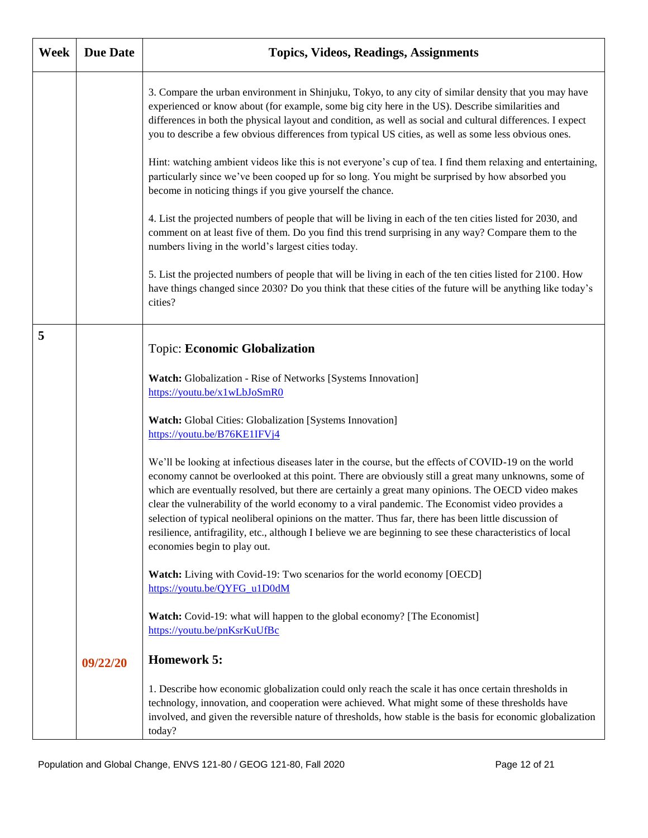| Week | <b>Due Date</b> | <b>Topics, Videos, Readings, Assignments</b>                                                                                                                                                                                                                                                                                                                                                                                                                                                                                                                                                                                                                                   |
|------|-----------------|--------------------------------------------------------------------------------------------------------------------------------------------------------------------------------------------------------------------------------------------------------------------------------------------------------------------------------------------------------------------------------------------------------------------------------------------------------------------------------------------------------------------------------------------------------------------------------------------------------------------------------------------------------------------------------|
|      |                 | 3. Compare the urban environment in Shinjuku, Tokyo, to any city of similar density that you may have<br>experienced or know about (for example, some big city here in the US). Describe similarities and<br>differences in both the physical layout and condition, as well as social and cultural differences. I expect<br>you to describe a few obvious differences from typical US cities, as well as some less obvious ones.                                                                                                                                                                                                                                               |
|      |                 | Hint: watching ambient videos like this is not everyone's cup of tea. I find them relaxing and entertaining,<br>particularly since we've been cooped up for so long. You might be surprised by how absorbed you<br>become in noticing things if you give yourself the chance.                                                                                                                                                                                                                                                                                                                                                                                                  |
|      |                 | 4. List the projected numbers of people that will be living in each of the ten cities listed for 2030, and<br>comment on at least five of them. Do you find this trend surprising in any way? Compare them to the<br>numbers living in the world's largest cities today.                                                                                                                                                                                                                                                                                                                                                                                                       |
|      |                 | 5. List the projected numbers of people that will be living in each of the ten cities listed for 2100. How<br>have things changed since 2030? Do you think that these cities of the future will be anything like today's<br>cities?                                                                                                                                                                                                                                                                                                                                                                                                                                            |
| 5    |                 | <b>Topic: Economic Globalization</b>                                                                                                                                                                                                                                                                                                                                                                                                                                                                                                                                                                                                                                           |
|      |                 | Watch: Globalization - Rise of Networks [Systems Innovation]<br>https://youtu.be/x1wLbJoSmR0                                                                                                                                                                                                                                                                                                                                                                                                                                                                                                                                                                                   |
|      |                 | Watch: Global Cities: Globalization [Systems Innovation]<br>https://youtu.be/B76KE1IFVj4                                                                                                                                                                                                                                                                                                                                                                                                                                                                                                                                                                                       |
|      |                 | We'll be looking at infectious diseases later in the course, but the effects of COVID-19 on the world<br>economy cannot be overlooked at this point. There are obviously still a great many unknowns, some of<br>which are eventually resolved, but there are certainly a great many opinions. The OECD video makes<br>clear the vulnerability of the world economy to a viral pandemic. The Economist video provides a<br>selection of typical neoliberal opinions on the matter. Thus far, there has been little discussion of<br>resilience, antifragility, etc., although I believe we are beginning to see these characteristics of local<br>economies begin to play out. |
|      |                 | Watch: Living with Covid-19: Two scenarios for the world economy [OECD]<br>https://youtu.be/QYFG_u1D0dM                                                                                                                                                                                                                                                                                                                                                                                                                                                                                                                                                                        |
|      |                 | Watch: Covid-19: what will happen to the global economy? [The Economist]<br>https://youtu.be/pnKsrKuUfBc                                                                                                                                                                                                                                                                                                                                                                                                                                                                                                                                                                       |
|      | 09/22/20        | <b>Homework 5:</b>                                                                                                                                                                                                                                                                                                                                                                                                                                                                                                                                                                                                                                                             |
|      |                 | 1. Describe how economic globalization could only reach the scale it has once certain thresholds in<br>technology, innovation, and cooperation were achieved. What might some of these thresholds have<br>involved, and given the reversible nature of thresholds, how stable is the basis for economic globalization<br>today?                                                                                                                                                                                                                                                                                                                                                |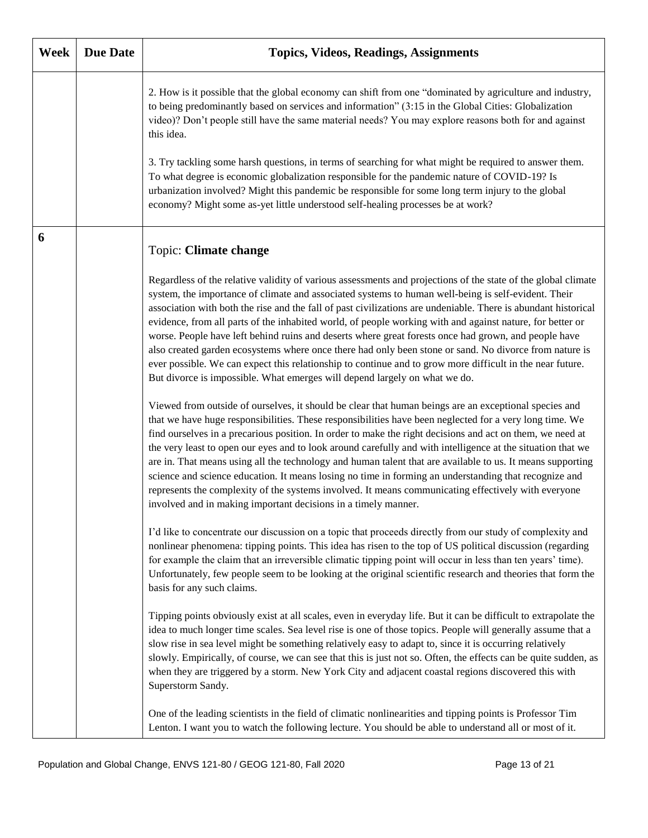| Week | <b>Due Date</b> | <b>Topics, Videos, Readings, Assignments</b>                                                                                                                                                                                                                                                                                                                                                                                                                                                                                                                                                                                                                                                                                                                                                                                                                     |
|------|-----------------|------------------------------------------------------------------------------------------------------------------------------------------------------------------------------------------------------------------------------------------------------------------------------------------------------------------------------------------------------------------------------------------------------------------------------------------------------------------------------------------------------------------------------------------------------------------------------------------------------------------------------------------------------------------------------------------------------------------------------------------------------------------------------------------------------------------------------------------------------------------|
|      |                 | 2. How is it possible that the global economy can shift from one "dominated by agriculture and industry,<br>to being predominantly based on services and information" (3:15 in the Global Cities: Globalization<br>video)? Don't people still have the same material needs? You may explore reasons both for and against<br>this idea.<br>3. Try tackling some harsh questions, in terms of searching for what might be required to answer them.<br>To what degree is economic globalization responsible for the pandemic nature of COVID-19? Is<br>urbanization involved? Might this pandemic be responsible for some long term injury to the global<br>economy? Might some as-yet little understood self-healing processes be at work?                                                                                                                         |
| 6    |                 | Topic: Climate change                                                                                                                                                                                                                                                                                                                                                                                                                                                                                                                                                                                                                                                                                                                                                                                                                                            |
|      |                 | Regardless of the relative validity of various assessments and projections of the state of the global climate<br>system, the importance of climate and associated systems to human well-being is self-evident. Their<br>association with both the rise and the fall of past civilizations are undeniable. There is abundant historical<br>evidence, from all parts of the inhabited world, of people working with and against nature, for better or<br>worse. People have left behind ruins and deserts where great forests once had grown, and people have<br>also created garden ecosystems where once there had only been stone or sand. No divorce from nature is<br>ever possible. We can expect this relationship to continue and to grow more difficult in the near future.<br>But divorce is impossible. What emerges will depend largely on what we do. |
|      |                 | Viewed from outside of ourselves, it should be clear that human beings are an exceptional species and<br>that we have huge responsibilities. These responsibilities have been neglected for a very long time. We<br>find ourselves in a precarious position. In order to make the right decisions and act on them, we need at<br>the very least to open our eyes and to look around carefully and with intelligence at the situation that we<br>are in. That means using all the technology and human talent that are available to us. It means supporting<br>science and science education. It means losing no time in forming an understanding that recognize and<br>represents the complexity of the systems involved. It means communicating effectively with everyone<br>involved and in making important decisions in a timely manner.                     |
|      |                 | I'd like to concentrate our discussion on a topic that proceeds directly from our study of complexity and<br>nonlinear phenomena: tipping points. This idea has risen to the top of US political discussion (regarding<br>for example the claim that an irreversible climatic tipping point will occur in less than ten years' time).<br>Unfortunately, few people seem to be looking at the original scientific research and theories that form the<br>basis for any such claims.                                                                                                                                                                                                                                                                                                                                                                               |
|      |                 | Tipping points obviously exist at all scales, even in everyday life. But it can be difficult to extrapolate the<br>idea to much longer time scales. Sea level rise is one of those topics. People will generally assume that a<br>slow rise in sea level might be something relatively easy to adapt to, since it is occurring relatively<br>slowly. Empirically, of course, we can see that this is just not so. Often, the effects can be quite sudden, as<br>when they are triggered by a storm. New York City and adjacent coastal regions discovered this with<br>Superstorm Sandy.                                                                                                                                                                                                                                                                         |
|      |                 | One of the leading scientists in the field of climatic nonlinearities and tipping points is Professor Tim<br>Lenton. I want you to watch the following lecture. You should be able to understand all or most of it.                                                                                                                                                                                                                                                                                                                                                                                                                                                                                                                                                                                                                                              |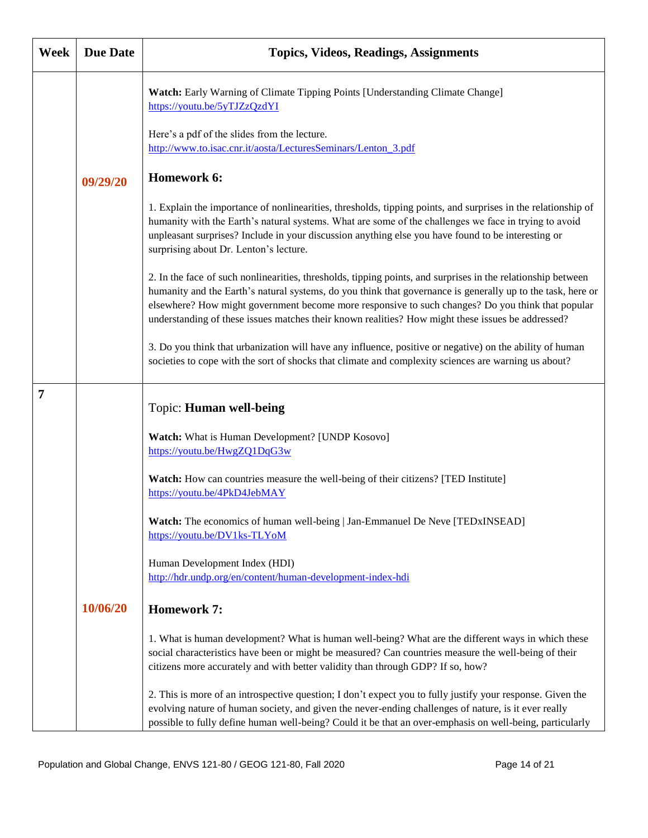| Week           | <b>Due Date</b> | <b>Topics, Videos, Readings, Assignments</b>                                                                                                                                                                                                                                                                                                                                                                                          |
|----------------|-----------------|---------------------------------------------------------------------------------------------------------------------------------------------------------------------------------------------------------------------------------------------------------------------------------------------------------------------------------------------------------------------------------------------------------------------------------------|
|                |                 | Watch: Early Warning of Climate Tipping Points [Understanding Climate Change]<br>https://youtu.be/5yTJZzQzdYI                                                                                                                                                                                                                                                                                                                         |
|                |                 | Here's a pdf of the slides from the lecture.<br>http://www.to.isac.cnr.it/aosta/LecturesSeminars/Lenton 3.pdf                                                                                                                                                                                                                                                                                                                         |
|                | 09/29/20        | Homework 6:                                                                                                                                                                                                                                                                                                                                                                                                                           |
|                |                 | 1. Explain the importance of nonlinearities, thresholds, tipping points, and surprises in the relationship of<br>humanity with the Earth's natural systems. What are some of the challenges we face in trying to avoid<br>unpleasant surprises? Include in your discussion anything else you have found to be interesting or<br>surprising about Dr. Lenton's lecture.                                                                |
|                |                 | 2. In the face of such nonlinearities, thresholds, tipping points, and surprises in the relationship between<br>humanity and the Earth's natural systems, do you think that governance is generally up to the task, here or<br>elsewhere? How might government become more responsive to such changes? Do you think that popular<br>understanding of these issues matches their known realities? How might these issues be addressed? |
|                |                 | 3. Do you think that urbanization will have any influence, positive or negative) on the ability of human<br>societies to cope with the sort of shocks that climate and complexity sciences are warning us about?                                                                                                                                                                                                                      |
| $\overline{7}$ |                 | Topic: Human well-being                                                                                                                                                                                                                                                                                                                                                                                                               |
|                |                 | Watch: What is Human Development? [UNDP Kosovo]<br>https://youtu.be/HwgZQ1DqG3w                                                                                                                                                                                                                                                                                                                                                       |
|                |                 | Watch: How can countries measure the well-being of their citizens? [TED Institute]<br>https://youtu.be/4PkD4JebMAY                                                                                                                                                                                                                                                                                                                    |
|                |                 | <b>Watch:</b> The economics of human well-being   Jan-Emmanuel De Neve [TEDxINSEAD]<br>https://youtu.be/DV1ks-TLYoM                                                                                                                                                                                                                                                                                                                   |
|                |                 | Human Development Index (HDI)<br>http://hdr.undp.org/en/content/human-development-index-hdi                                                                                                                                                                                                                                                                                                                                           |
|                | 10/06/20        | <b>Homework 7:</b>                                                                                                                                                                                                                                                                                                                                                                                                                    |
|                |                 | 1. What is human development? What is human well-being? What are the different ways in which these<br>social characteristics have been or might be measured? Can countries measure the well-being of their<br>citizens more accurately and with better validity than through GDP? If so, how?                                                                                                                                         |
|                |                 | 2. This is more of an introspective question; I don't expect you to fully justify your response. Given the<br>evolving nature of human society, and given the never-ending challenges of nature, is it ever really<br>possible to fully define human well-being? Could it be that an over-emphasis on well-being, particularly                                                                                                        |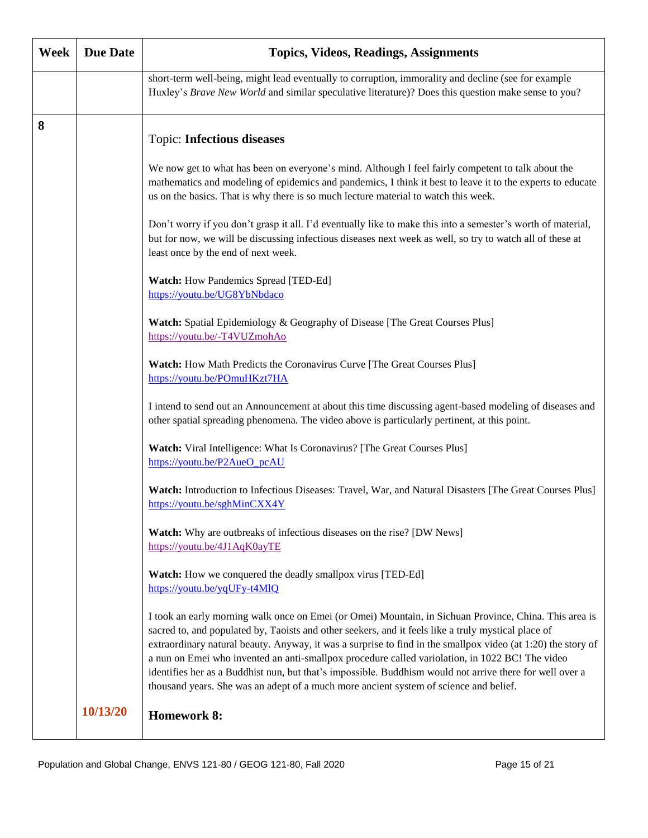| Week | <b>Due Date</b> | <b>Topics, Videos, Readings, Assignments</b>                                                                                                                                                                                                                                                                                                                                                                                                                                                                                                                                                                                          |
|------|-----------------|---------------------------------------------------------------------------------------------------------------------------------------------------------------------------------------------------------------------------------------------------------------------------------------------------------------------------------------------------------------------------------------------------------------------------------------------------------------------------------------------------------------------------------------------------------------------------------------------------------------------------------------|
|      |                 | short-term well-being, might lead eventually to corruption, immorality and decline (see for example<br>Huxley's Brave New World and similar speculative literature)? Does this question make sense to you?                                                                                                                                                                                                                                                                                                                                                                                                                            |
| 8    |                 | <b>Topic: Infectious diseases</b>                                                                                                                                                                                                                                                                                                                                                                                                                                                                                                                                                                                                     |
|      |                 | We now get to what has been on everyone's mind. Although I feel fairly competent to talk about the<br>mathematics and modeling of epidemics and pandemics, I think it best to leave it to the experts to educate<br>us on the basics. That is why there is so much lecture material to watch this week.                                                                                                                                                                                                                                                                                                                               |
|      |                 | Don't worry if you don't grasp it all. I'd eventually like to make this into a semester's worth of material,<br>but for now, we will be discussing infectious diseases next week as well, so try to watch all of these at<br>least once by the end of next week.                                                                                                                                                                                                                                                                                                                                                                      |
|      |                 | Watch: How Pandemics Spread [TED-Ed]<br>https://youtu.be/UG8YbNbdaco                                                                                                                                                                                                                                                                                                                                                                                                                                                                                                                                                                  |
|      |                 | <b>Watch:</b> Spatial Epidemiology & Geography of Disease [The Great Courses Plus]<br>https://youtu.be/-T4VUZmohAo                                                                                                                                                                                                                                                                                                                                                                                                                                                                                                                    |
|      |                 | Watch: How Math Predicts the Coronavirus Curve [The Great Courses Plus]<br>https://youtu.be/POmuHKzt7HA                                                                                                                                                                                                                                                                                                                                                                                                                                                                                                                               |
|      |                 | I intend to send out an Announcement at about this time discussing agent-based modeling of diseases and<br>other spatial spreading phenomena. The video above is particularly pertinent, at this point.                                                                                                                                                                                                                                                                                                                                                                                                                               |
|      |                 | Watch: Viral Intelligence: What Is Coronavirus? [The Great Courses Plus]<br>https://youtu.be/P2AueO_pcAU                                                                                                                                                                                                                                                                                                                                                                                                                                                                                                                              |
|      |                 | Watch: Introduction to Infectious Diseases: Travel, War, and Natural Disasters [The Great Courses Plus]<br>https://youtu.be/sghMinCXX4Y                                                                                                                                                                                                                                                                                                                                                                                                                                                                                               |
|      |                 | <b>Watch:</b> Why are outbreaks of infectious diseases on the rise? [DW News]<br>https://youtu.be/4J1AqK0ayTE                                                                                                                                                                                                                                                                                                                                                                                                                                                                                                                         |
|      |                 | Watch: How we conquered the deadly smallpox virus [TED-Ed]<br>https://youtu.be/yqUFy-t4M1Q                                                                                                                                                                                                                                                                                                                                                                                                                                                                                                                                            |
|      |                 | I took an early morning walk once on Emei (or Omei) Mountain, in Sichuan Province, China. This area is<br>sacred to, and populated by, Taoists and other seekers, and it feels like a truly mystical place of<br>extraordinary natural beauty. Anyway, it was a surprise to find in the smallpox video (at 1:20) the story of<br>a nun on Emei who invented an anti-smallpox procedure called variolation, in 1022 BC! The video<br>identifies her as a Buddhist nun, but that's impossible. Buddhism would not arrive there for well over a<br>thousand years. She was an adept of a much more ancient system of science and belief. |
|      | 10/13/20        | <b>Homework 8:</b>                                                                                                                                                                                                                                                                                                                                                                                                                                                                                                                                                                                                                    |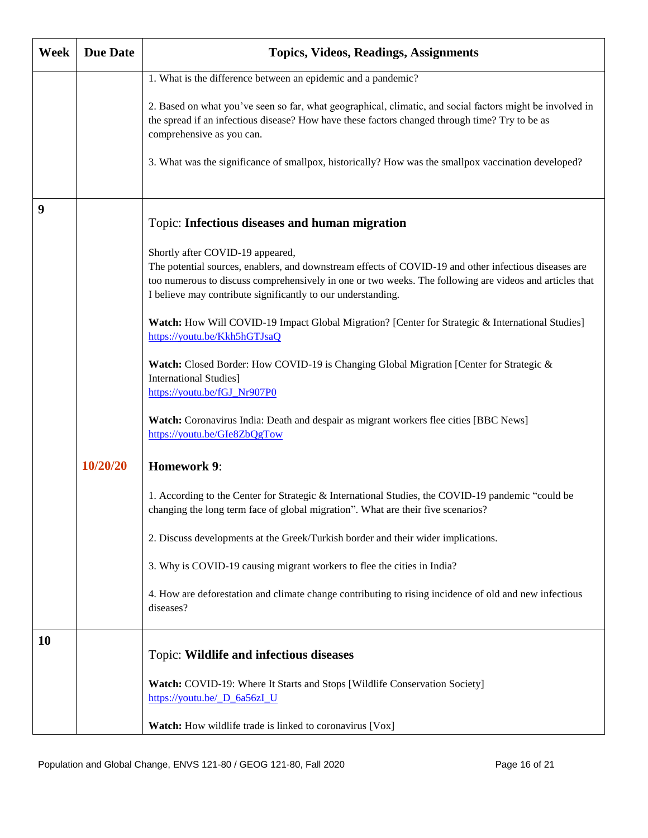| Week | <b>Due Date</b> | <b>Topics, Videos, Readings, Assignments</b>                                                                                                                                                                                                                                     |
|------|-----------------|----------------------------------------------------------------------------------------------------------------------------------------------------------------------------------------------------------------------------------------------------------------------------------|
|      |                 | 1. What is the difference between an epidemic and a pandemic?                                                                                                                                                                                                                    |
|      |                 | 2. Based on what you've seen so far, what geographical, climatic, and social factors might be involved in<br>the spread if an infectious disease? How have these factors changed through time? Try to be as<br>comprehensive as you can.                                         |
|      |                 | 3. What was the significance of smallpox, historically? How was the smallpox vaccination developed?                                                                                                                                                                              |
| 9    |                 | Topic: Infectious diseases and human migration                                                                                                                                                                                                                                   |
|      |                 | Shortly after COVID-19 appeared,                                                                                                                                                                                                                                                 |
|      |                 | The potential sources, enablers, and downstream effects of COVID-19 and other infectious diseases are<br>too numerous to discuss comprehensively in one or two weeks. The following are videos and articles that<br>I believe may contribute significantly to our understanding. |
|      |                 | Watch: How Will COVID-19 Impact Global Migration? [Center for Strategic & International Studies]<br>https://youtu.be/Kkh5hGTJsaQ                                                                                                                                                 |
|      |                 | Watch: Closed Border: How COVID-19 is Changing Global Migration [Center for Strategic &<br><b>International Studies</b> ]<br>https://youtu.be/fGJ_Nr907P0                                                                                                                        |
|      |                 | Watch: Coronavirus India: Death and despair as migrant workers flee cities [BBC News]<br>https://youtu.be/GIe8ZbQgTow                                                                                                                                                            |
|      | 10/20/20        | <b>Homework 9:</b>                                                                                                                                                                                                                                                               |
|      |                 | 1. According to the Center for Strategic & International Studies, the COVID-19 pandemic "could be<br>changing the long term face of global migration". What are their five scenarios?                                                                                            |
|      |                 | 2. Discuss developments at the Greek/Turkish border and their wider implications.                                                                                                                                                                                                |
|      |                 | 3. Why is COVID-19 causing migrant workers to flee the cities in India?                                                                                                                                                                                                          |
|      |                 | 4. How are deforestation and climate change contributing to rising incidence of old and new infectious<br>diseases?                                                                                                                                                              |
| 10   |                 | Topic: Wildlife and infectious diseases                                                                                                                                                                                                                                          |
|      |                 | Watch: COVID-19: Where It Starts and Stops [Wildlife Conservation Society]<br>https://youtu.be/ D 6a56zI U                                                                                                                                                                       |
|      |                 | Watch: How wildlife trade is linked to coronavirus [Vox]                                                                                                                                                                                                                         |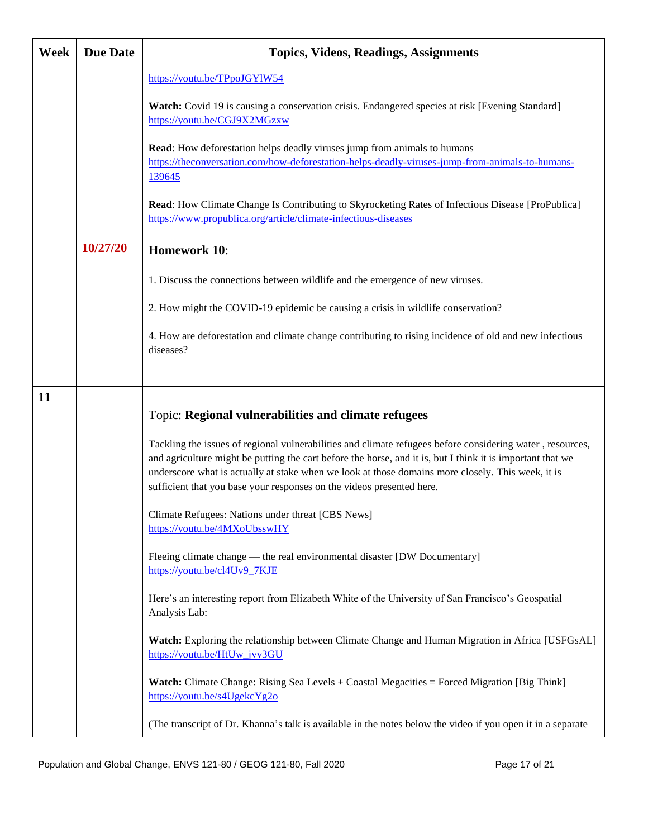| Week | <b>Due Date</b> | <b>Topics, Videos, Readings, Assignments</b>                                                                                                                                                                                                                                                                                                                                                          |
|------|-----------------|-------------------------------------------------------------------------------------------------------------------------------------------------------------------------------------------------------------------------------------------------------------------------------------------------------------------------------------------------------------------------------------------------------|
|      |                 | https://youtu.be/TPpoJGYlW54<br>Watch: Covid 19 is causing a conservation crisis. Endangered species at risk [Evening Standard]<br>https://youtu.be/CGJ9X2MGzxw                                                                                                                                                                                                                                       |
|      |                 | Read: How deforestation helps deadly viruses jump from animals to humans<br>https://theconversation.com/how-deforestation-helps-deadly-viruses-jump-from-animals-to-humans-<br>139645                                                                                                                                                                                                                 |
|      |                 | Read: How Climate Change Is Contributing to Skyrocketing Rates of Infectious Disease [ProPublica]<br>https://www.propublica.org/article/climate-infectious-diseases                                                                                                                                                                                                                                   |
|      | 10/27/20        | <b>Homework 10:</b>                                                                                                                                                                                                                                                                                                                                                                                   |
|      |                 | 1. Discuss the connections between wildlife and the emergence of new viruses.                                                                                                                                                                                                                                                                                                                         |
|      |                 | 2. How might the COVID-19 epidemic be causing a crisis in wildlife conservation?                                                                                                                                                                                                                                                                                                                      |
|      |                 | 4. How are deforestation and climate change contributing to rising incidence of old and new infectious<br>diseases?                                                                                                                                                                                                                                                                                   |
| 11   |                 |                                                                                                                                                                                                                                                                                                                                                                                                       |
|      |                 | Topic: Regional vulnerabilities and climate refugees                                                                                                                                                                                                                                                                                                                                                  |
|      |                 | Tackling the issues of regional vulnerabilities and climate refugees before considering water, resources,<br>and agriculture might be putting the cart before the horse, and it is, but I think it is important that we<br>underscore what is actually at stake when we look at those domains more closely. This week, it is<br>sufficient that you base your responses on the videos presented here. |
|      |                 | Climate Refugees: Nations under threat [CBS News]<br>https://youtu.be/4MXoUbsswHY                                                                                                                                                                                                                                                                                                                     |
|      |                 | Fleeing climate change — the real environmental disaster [DW Documentary]<br>https://youtu.be/cl4Uv9_7KJE                                                                                                                                                                                                                                                                                             |
|      |                 | Here's an interesting report from Elizabeth White of the University of San Francisco's Geospatial<br>Analysis Lab:                                                                                                                                                                                                                                                                                    |
|      |                 | Watch: Exploring the relationship between Climate Change and Human Migration in Africa [USFGsAL]<br>https://youtu.be/HtUw_jvv3GU                                                                                                                                                                                                                                                                      |
|      |                 | <b>Watch:</b> Climate Change: Rising Sea Levels + Coastal Megacities = Forced Migration [Big Think]<br>https://youtu.be/s4UgekcYg2o                                                                                                                                                                                                                                                                   |
|      |                 | (The transcript of Dr. Khanna's talk is available in the notes below the video if you open it in a separate                                                                                                                                                                                                                                                                                           |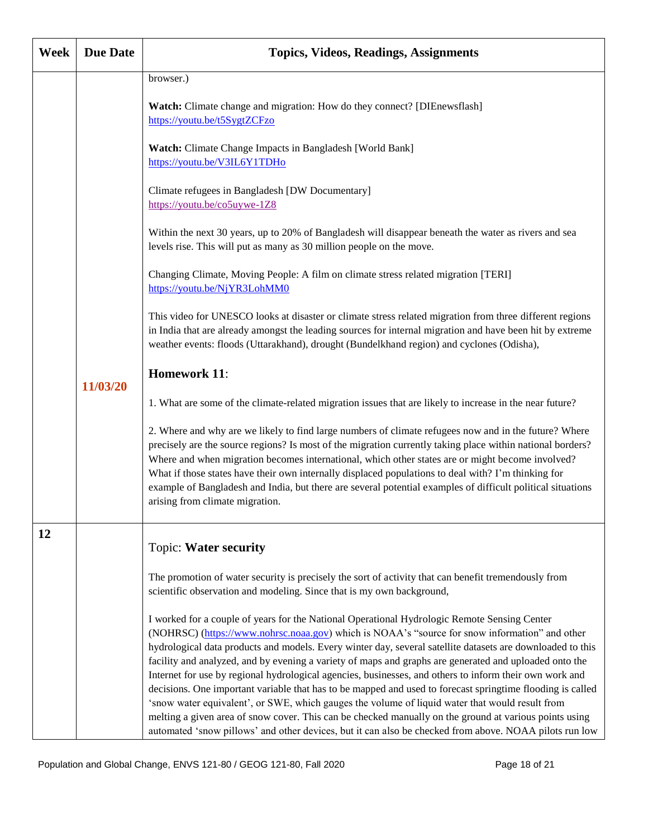| Week | <b>Due Date</b> | <b>Topics, Videos, Readings, Assignments</b>                                                                                                                                                                                                                                                                                                                                                                                                                                                                                                                                                                                                                                                                                                                                                                                                                                                                                                                           |
|------|-----------------|------------------------------------------------------------------------------------------------------------------------------------------------------------------------------------------------------------------------------------------------------------------------------------------------------------------------------------------------------------------------------------------------------------------------------------------------------------------------------------------------------------------------------------------------------------------------------------------------------------------------------------------------------------------------------------------------------------------------------------------------------------------------------------------------------------------------------------------------------------------------------------------------------------------------------------------------------------------------|
|      |                 | browser.)<br>Watch: Climate change and migration: How do they connect? [DIEnewsflash]<br>https://youtu.be/t5SygtZCFzo                                                                                                                                                                                                                                                                                                                                                                                                                                                                                                                                                                                                                                                                                                                                                                                                                                                  |
|      |                 | Watch: Climate Change Impacts in Bangladesh [World Bank]<br>https://youtu.be/V3IL6Y1TDHo                                                                                                                                                                                                                                                                                                                                                                                                                                                                                                                                                                                                                                                                                                                                                                                                                                                                               |
|      |                 | Climate refugees in Bangladesh [DW Documentary]<br>https://youtu.be/co5uywe-1Z8                                                                                                                                                                                                                                                                                                                                                                                                                                                                                                                                                                                                                                                                                                                                                                                                                                                                                        |
|      |                 | Within the next 30 years, up to 20% of Bangladesh will disappear beneath the water as rivers and sea<br>levels rise. This will put as many as 30 million people on the move.                                                                                                                                                                                                                                                                                                                                                                                                                                                                                                                                                                                                                                                                                                                                                                                           |
|      |                 | Changing Climate, Moving People: A film on climate stress related migration [TERI]<br>https://youtu.be/NjYR3LohMM0                                                                                                                                                                                                                                                                                                                                                                                                                                                                                                                                                                                                                                                                                                                                                                                                                                                     |
|      |                 | This video for UNESCO looks at disaster or climate stress related migration from three different regions<br>in India that are already amongst the leading sources for internal migration and have been hit by extreme<br>weather events: floods (Uttarakhand), drought (Bundelkhand region) and cyclones (Odisha),                                                                                                                                                                                                                                                                                                                                                                                                                                                                                                                                                                                                                                                     |
|      | 11/03/20        | <b>Homework 11:</b>                                                                                                                                                                                                                                                                                                                                                                                                                                                                                                                                                                                                                                                                                                                                                                                                                                                                                                                                                    |
|      |                 | 1. What are some of the climate-related migration issues that are likely to increase in the near future?                                                                                                                                                                                                                                                                                                                                                                                                                                                                                                                                                                                                                                                                                                                                                                                                                                                               |
|      |                 | 2. Where and why are we likely to find large numbers of climate refugees now and in the future? Where<br>precisely are the source regions? Is most of the migration currently taking place within national borders?<br>Where and when migration becomes international, which other states are or might become involved?<br>What if those states have their own internally displaced populations to deal with? I'm thinking for<br>example of Bangladesh and India, but there are several potential examples of difficult political situations<br>arising from climate migration.                                                                                                                                                                                                                                                                                                                                                                                       |
| 12   |                 | Topic: Water security                                                                                                                                                                                                                                                                                                                                                                                                                                                                                                                                                                                                                                                                                                                                                                                                                                                                                                                                                  |
|      |                 | The promotion of water security is precisely the sort of activity that can benefit tremendously from<br>scientific observation and modeling. Since that is my own background,                                                                                                                                                                                                                                                                                                                                                                                                                                                                                                                                                                                                                                                                                                                                                                                          |
|      |                 | I worked for a couple of years for the National Operational Hydrologic Remote Sensing Center<br>(NOHRSC) (https://www.nohrsc.noaa.gov) which is NOAA's "source for snow information" and other<br>hydrological data products and models. Every winter day, several satellite datasets are downloaded to this<br>facility and analyzed, and by evening a variety of maps and graphs are generated and uploaded onto the<br>Internet for use by regional hydrological agencies, businesses, and others to inform their own work and<br>decisions. One important variable that has to be mapped and used to forecast springtime flooding is called<br>'snow water equivalent', or SWE, which gauges the volume of liquid water that would result from<br>melting a given area of snow cover. This can be checked manually on the ground at various points using<br>automated 'snow pillows' and other devices, but it can also be checked from above. NOAA pilots run low |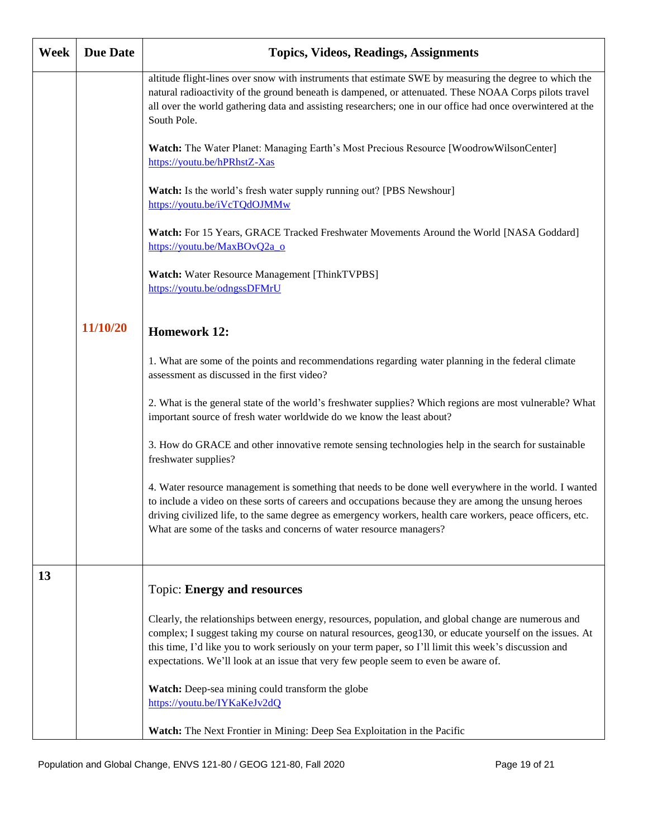| Week | <b>Due Date</b> | <b>Topics, Videos, Readings, Assignments</b>                                                                                                                                                                                                                                                                                                                                                                      |
|------|-----------------|-------------------------------------------------------------------------------------------------------------------------------------------------------------------------------------------------------------------------------------------------------------------------------------------------------------------------------------------------------------------------------------------------------------------|
|      |                 | altitude flight-lines over snow with instruments that estimate SWE by measuring the degree to which the<br>natural radioactivity of the ground beneath is dampened, or attenuated. These NOAA Corps pilots travel<br>all over the world gathering data and assisting researchers; one in our office had once overwintered at the<br>South Pole.                                                                   |
|      |                 | Watch: The Water Planet: Managing Earth's Most Precious Resource [WoodrowWilsonCenter]<br>https://youtu.be/hPRhstZ-Xas                                                                                                                                                                                                                                                                                            |
|      |                 | Watch: Is the world's fresh water supply running out? [PBS Newshour]<br>https://youtu.be/iVcTQdOJMMw                                                                                                                                                                                                                                                                                                              |
|      |                 | Watch: For 15 Years, GRACE Tracked Freshwater Movements Around the World [NASA Goddard]<br>https://youtu.be/MaxBOvQ2a_o                                                                                                                                                                                                                                                                                           |
|      |                 | <b>Watch:</b> Water Resource Management [ThinkTVPBS]<br>https://youtu.be/odngssDFMrU                                                                                                                                                                                                                                                                                                                              |
|      | 11/10/20        | <b>Homework 12:</b>                                                                                                                                                                                                                                                                                                                                                                                               |
|      |                 | 1. What are some of the points and recommendations regarding water planning in the federal climate<br>assessment as discussed in the first video?                                                                                                                                                                                                                                                                 |
|      |                 | 2. What is the general state of the world's freshwater supplies? Which regions are most vulnerable? What<br>important source of fresh water worldwide do we know the least about?                                                                                                                                                                                                                                 |
|      |                 | 3. How do GRACE and other innovative remote sensing technologies help in the search for sustainable<br>freshwater supplies?                                                                                                                                                                                                                                                                                       |
|      |                 | 4. Water resource management is something that needs to be done well everywhere in the world. I wanted<br>to include a video on these sorts of careers and occupations because they are among the unsung heroes<br>driving civilized life, to the same degree as emergency workers, health care workers, peace officers, etc.<br>What are some of the tasks and concerns of water resource managers?              |
| 13   |                 | <b>Topic: Energy and resources</b>                                                                                                                                                                                                                                                                                                                                                                                |
|      |                 | Clearly, the relationships between energy, resources, population, and global change are numerous and<br>complex; I suggest taking my course on natural resources, geog130, or educate yourself on the issues. At<br>this time, I'd like you to work seriously on your term paper, so I'll limit this week's discussion and<br>expectations. We'll look at an issue that very few people seem to even be aware of. |
|      |                 | Watch: Deep-sea mining could transform the globe<br>https://youtu.be/IYKaKeJv2dQ                                                                                                                                                                                                                                                                                                                                  |
|      |                 | Watch: The Next Frontier in Mining: Deep Sea Exploitation in the Pacific                                                                                                                                                                                                                                                                                                                                          |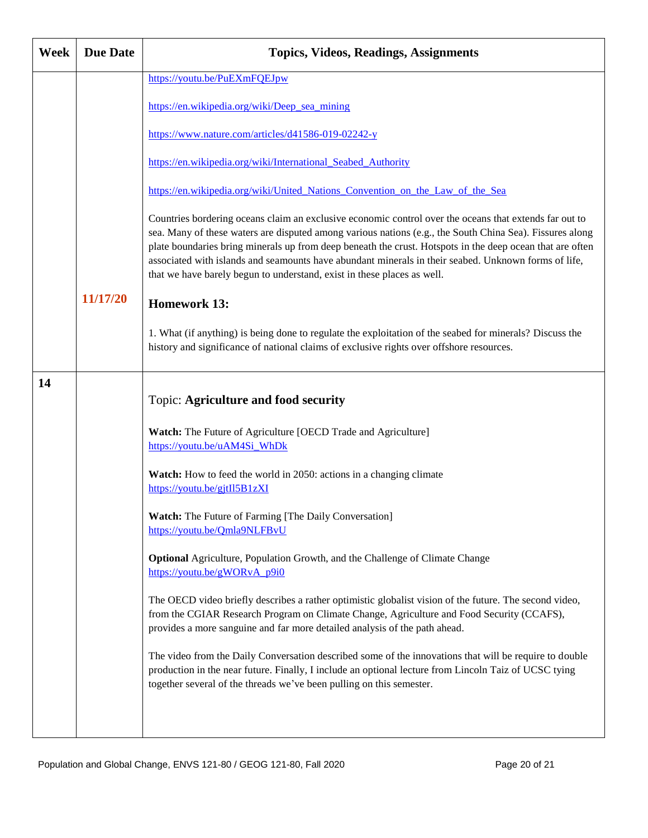| Week | <b>Due Date</b> | <b>Topics, Videos, Readings, Assignments</b>                                                                                                                                                                                                                                                                                                                                                                                                                                                                       |
|------|-----------------|--------------------------------------------------------------------------------------------------------------------------------------------------------------------------------------------------------------------------------------------------------------------------------------------------------------------------------------------------------------------------------------------------------------------------------------------------------------------------------------------------------------------|
|      |                 | https://youtu.be/PuEXmFQEJpw                                                                                                                                                                                                                                                                                                                                                                                                                                                                                       |
|      |                 | https://en.wikipedia.org/wiki/Deep_sea_mining                                                                                                                                                                                                                                                                                                                                                                                                                                                                      |
|      |                 | https://www.nature.com/articles/d41586-019-02242-y                                                                                                                                                                                                                                                                                                                                                                                                                                                                 |
|      |                 | https://en.wikipedia.org/wiki/International Seabed Authority                                                                                                                                                                                                                                                                                                                                                                                                                                                       |
|      |                 | https://en.wikipedia.org/wiki/United Nations Convention on the Law of the Sea                                                                                                                                                                                                                                                                                                                                                                                                                                      |
|      |                 | Countries bordering oceans claim an exclusive economic control over the oceans that extends far out to<br>sea. Many of these waters are disputed among various nations (e.g., the South China Sea). Fissures along<br>plate boundaries bring minerals up from deep beneath the crust. Hotspots in the deep ocean that are often<br>associated with islands and seamounts have abundant minerals in their seabed. Unknown forms of life,<br>that we have barely begun to understand, exist in these places as well. |
|      | 11/17/20        | <b>Homework 13:</b>                                                                                                                                                                                                                                                                                                                                                                                                                                                                                                |
|      |                 | 1. What (if anything) is being done to regulate the exploitation of the seabed for minerals? Discuss the<br>history and significance of national claims of exclusive rights over offshore resources.                                                                                                                                                                                                                                                                                                               |
| 14   |                 | <b>Topic: Agriculture and food security</b>                                                                                                                                                                                                                                                                                                                                                                                                                                                                        |
|      |                 |                                                                                                                                                                                                                                                                                                                                                                                                                                                                                                                    |
|      |                 | Watch: The Future of Agriculture [OECD Trade and Agriculture]<br>https://youtu.be/uAM4Si_WhDk                                                                                                                                                                                                                                                                                                                                                                                                                      |
|      |                 | Watch: How to feed the world in 2050: actions in a changing climate<br>https://youtu.be/gjtIl5B1zXI                                                                                                                                                                                                                                                                                                                                                                                                                |
|      |                 | Watch: The Future of Farming [The Daily Conversation]<br>https://youtu.be/Qmla9NLFBvU                                                                                                                                                                                                                                                                                                                                                                                                                              |
|      |                 | Optional Agriculture, Population Growth, and the Challenge of Climate Change<br>https://youtu.be/gWORvA p9i0                                                                                                                                                                                                                                                                                                                                                                                                       |
|      |                 | The OECD video briefly describes a rather optimistic globalist vision of the future. The second video,<br>from the CGIAR Research Program on Climate Change, Agriculture and Food Security (CCAFS),<br>provides a more sanguine and far more detailed analysis of the path ahead.                                                                                                                                                                                                                                  |
|      |                 | The video from the Daily Conversation described some of the innovations that will be require to double<br>production in the near future. Finally, I include an optional lecture from Lincoln Taiz of UCSC tying<br>together several of the threads we've been pulling on this semester.                                                                                                                                                                                                                            |
|      |                 |                                                                                                                                                                                                                                                                                                                                                                                                                                                                                                                    |